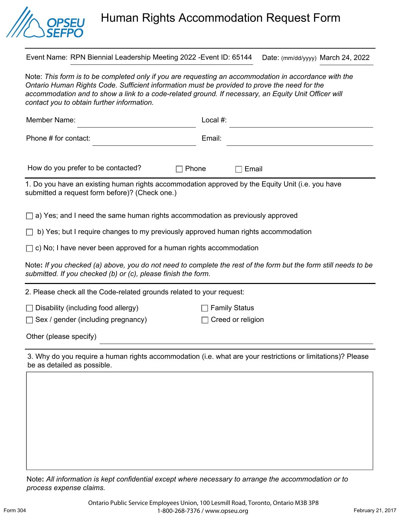

## Human Rights Accommodation Request Form

Event Name: RPN Biennial Leadership Meeting 2022 -Event ID: 65144 Date: (mm/dd/yyyy) March 24, 2022

Note: *This form is to be completed only if you are requesting an accommodation in accordance with the Ontario Human Rights Code. Sufficient information must be provided to prove the need for the*  accommodation and to show a link to a code-related ground. If necessary, an Equity Unit Officer will *contact you to obtain further information.* 

| Member Name:                                                                                                                                       | Local #:                                                                                                        |  |  |
|----------------------------------------------------------------------------------------------------------------------------------------------------|-----------------------------------------------------------------------------------------------------------------|--|--|
| Phone # for contact:                                                                                                                               | Email:                                                                                                          |  |  |
| How do you prefer to be contacted?<br>Phone                                                                                                        | Email                                                                                                           |  |  |
| 1. Do you have an existing human rights accommodation approved by the Equity Unit (i.e. you have<br>submitted a request form before)? (Check one.) |                                                                                                                 |  |  |
| $\Box$ a) Yes; and I need the same human rights accommodation as previously approved                                                               |                                                                                                                 |  |  |
| b) Yes; but I require changes to my previously approved human rights accommodation                                                                 |                                                                                                                 |  |  |
| $\Box$ c) No; I have never been approved for a human rights accommodation                                                                          |                                                                                                                 |  |  |
| submitted. If you checked (b) or (c), please finish the form.                                                                                      | Note: If you checked (a) above, you do not need to complete the rest of the form but the form still needs to be |  |  |
| 2. Please check all the Code-related grounds related to your request:                                                                              |                                                                                                                 |  |  |
| $\Box$ Disability (including food allergy)                                                                                                         | <b>Family Status</b>                                                                                            |  |  |

□ Sex / gender (including pregnancy) □ Creed or religion

|  |  |  | Other (please specify) |
|--|--|--|------------------------|
|--|--|--|------------------------|

3. Why do you require a human rights accommodation (i.e. what are your restrictions or limitations)? Please be as detailed as possible.

Note**:** *All information is kept confidential except where necessary to arrange the accommodation or to process expense claims.*